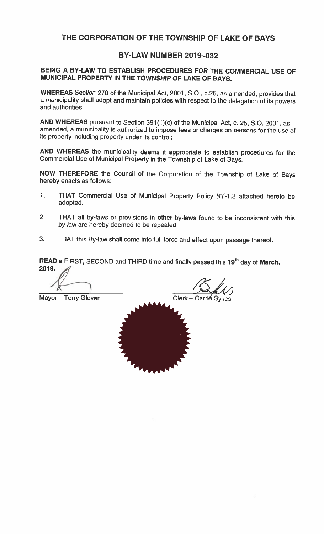## THE CORPORATION OF THE TOWNSHIP OF LAKE OF BAYS

## **BY-LAW NUMBER 2019-032**

## BEING A BY-LAW TO ESTABLISH PROCEDURES FOR THE COMMERCIAL USE OF MUNICIPAL PROPERTY IN THE TOWNSHIP OF LAKE OF BAYS.

WHEREAS Section 270 of the Municipal Act, 2001, S.O., c.25, as amended, provides that a municipality shall adopt and maintain policies with respect to the delegation of its powers and authorities.

AND WHEREAS pursuant to Section 391(1)(c) of the Municipal Act, c. 25, S.O. 2001, as amended, a municipality is authorized to impose fees or charges on persons for the use of its property including property under its control;

AND WHEREAS the municipality deems it appropriate to establish procedures for the Commercial Use of Municipal Property in the Township of Lake of Bays.

NOW THEREFORE the Council of the Corporation of the Township of Lake of Bays hereby enacts as follows:

- $\mathbf{1}$ . THAT Commercial Use of Municipal Property Policy BY-1.3 attached hereto be adopted.
- $2.$ THAT all by-laws or provisions in other by-laws found to be inconsistent with this by-law are hereby deemed to be repealed.
- THAT this By-law shall come into full force and effect upon passage thereof. 3.

READ a FIRST, SECOND and THIRD time and finally passed this 19<sup>th</sup> day of March, 2019.

Mayor - Terry Glover

Clerk - Carrié Sykes

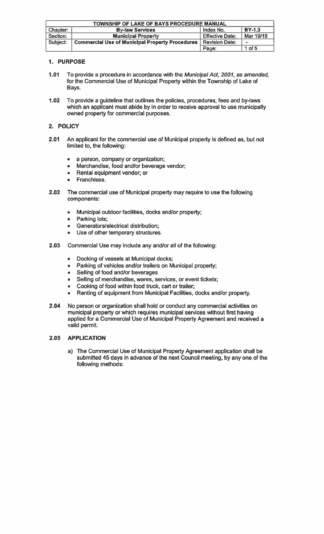| TOWNSHIP OF LAKE OF BAYS PROCEDURE MANUAL                        |                                                        |                        |            |
|------------------------------------------------------------------|--------------------------------------------------------|------------------------|------------|
| <b>BY-1.3</b><br>Index No.<br>Chapter:<br><b>By-law Services</b> |                                                        |                        |            |
| Section:                                                         | <b>Municipal Property</b>                              | <b>Effective Date:</b> | Mar 19/19  |
| Subject:                                                         | <b>Commercial Use of Municipal Property Procedures</b> | <b>Revision Date:</b>  | $\sim$     |
|                                                                  |                                                        | Page:                  | $1$ of $5$ |

### 1. PURPOSE

- $1.01$ To provide a procedure in accordance with the Municipal Act, 2001, as amended, for the Commercial Use of Municipal Property within the Township of Lake of Bays.
- $1.02$ To provide a guideline that outlines the policies, procedures, fees and by-laws which an applicant must abide by in order to receive approval to use municipally owned property for commercial purposes.

### 2. POLICY

- $2.01$ An applicant for the commercial use of Municipal property is defined as, but not limited to, the following:
	- a person, company or organization;  $\bullet$
	- Merchandise, food and/or beverage vendor;  $\bullet$
	- Rental equipment vendor; or
	- Franchisee.  $\blacksquare$
- $2.02$ The commercial use of Municipal property may require to use the following components:
	- Municipal outdoor facilities, docks and/or property;  $\bullet$
	- Parking lots;
	- Generators/electrical distribution;
	- Use of other temporary structures.  $\bullet$
- $2.03$ Commercial Use may include any and/or all of the following:
	- Docking of vessels at Municipal docks;  $\bullet$
	- Parking of vehicles and/or trailers on Municipal property;  $\bullet$
	- Selling of food and/or beverages
	- Selling of merchandise, wares, services, or event tickets;
	- Cooking of food within food truck, cart or trailer;  $\bullet$
	- Renting of equipment from Municipal Facilities, docks and/or property.  $\bullet$
- No person or organization shall hold or conduct any commercial activities on 2.04 municipal property or which requires municipal services without first having applied for a Commercial Use of Municipal Property Agreement and received a valid permit.

### 2.05 **APPLICATION**

a) The Commercial Use of Municipal Property Agreement application shall be submitted 45 days in advance of the next Council meeting, by any one of the following methods: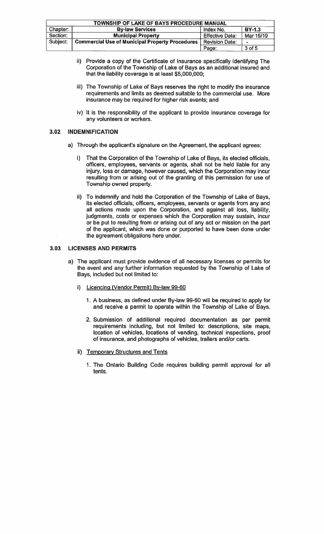| TOWNSHIP OF LAKE OF BAYS PROCEDURE MANUAL |                                                        |                        |                          |  |
|-------------------------------------------|--------------------------------------------------------|------------------------|--------------------------|--|
| Chapter:                                  | <b>BY-1.3</b><br><b>By-law Services</b><br>Index No.   |                        |                          |  |
| Section:                                  | <b>Municipal Property</b>                              | <b>Effective Date:</b> | Mar 19/19                |  |
| Subject:                                  | <b>Commercial Use of Municipal Property Procedures</b> | <b>Revision Date:</b>  | $\overline{\phantom{a}}$ |  |
|                                           |                                                        | Page:                  | $3$ of $5$               |  |

- ii) Provide a copy of the Certificate of Insurance specifically identifying The Corporation of the Township of Lake of Bays as an additional insured and that the liability coverage is at least \$5,000,000;
- iii) The Township of Lake of Bays reserves the right to modify the insurance requirements and limits as deemed suitable to the commercial use. More insurance may be required for higher risk events; and
- iv) It is the responsibility of the applicant to provide insurance coverage for any volunteers or workers.

### $3.02$ **INDEMNIFICATION**

- a) Through the applicant's signature on the Agreement, the applicant agrees:
	- i) That the Corporation of the Township of Lake of Bays, its elected officials, officers, employees, servants or agents, shall not be held liable for any injury, loss or damage, however caused, which the Corporation may incur resulting from or arising out of the granting of this permission for use of Township owned property.
	- ii) To indemnify and hold the Corporation of the Township of Lake of Bays, its elected officials, officers, employees, servants or agents from any and all actions made upon the Corporation, and against all loss, liability, judgments, costs or expenses which the Corporation may sustain, incur or be put to resulting from or arising out of any act or mission on the part of the applicant, which was done or purported to have been done under the agreement obligations here under.

### **LICENSES AND PERMITS**  $3.03$

- a) The applicant must provide evidence of all necessary licenses or permits for the event and any further information requested by the Township of Lake of Bays, included but not limited to:
	- i) Licencing (Vendor Permit) By-law 99-60
		- 1. A business, as defined under By-law 99-60 will be required to apply for and receive a permit to operate within the Township of Lake of Bays.
		- 2. Submission of additional required documentation as per permit requirements including, but not limited to: descriptions, site maps, location of vehicles, locations of vending, technical inspections, proof of insurance, and photographs of vehicles, trailers and/or carts.
	- ii) Temporary Structures and Tents
		- 1. The Ontario Building Code requires building permit approval for all tents.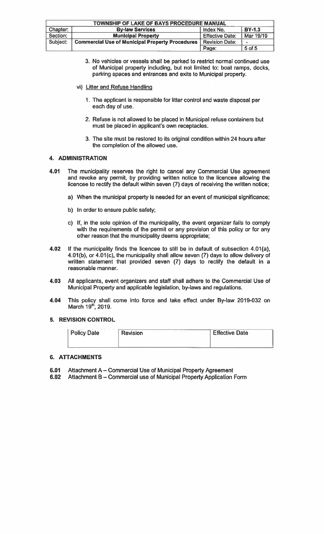| TOWNSHIP OF LAKE OF BAYS PROCEDURE MANUAL |                                                        |                        |               |  |
|-------------------------------------------|--------------------------------------------------------|------------------------|---------------|--|
|                                           |                                                        |                        |               |  |
| Chapter:                                  | <b>By-law Services</b>                                 | Index No.              | <b>BY-1.3</b> |  |
| Section:                                  | <b>Municipal Property</b>                              | <b>Effective Date:</b> | Mar 19/19     |  |
| Subject:                                  | <b>Commercial Use of Municipal Property Procedures</b> | Revision Date:         | $\bullet$     |  |
|                                           |                                                        | Page:                  | 5 of 5        |  |

- 3. No vehicles or vessels shall be parked to restrict normal continued use of Municipal property including, but not limited to: boat ramps, docks, parking spaces and entrances and exits to Municipal property.
- vi) Litter and Refuse Handling
	- 1. The applicant is responsible for litter control and waste disposal per each day of use.
	- 2. Refuse is not allowed to be placed in Municipal refuse containers but must be placed in applicant's own receptacles.
	- 3. The site must be restored to its original condition within 24 hours after the completion of the allowed use.

### 4. ADMINISTRATION

- The municipality reserves the right to cancel any Commercial Use agreement 4.01 and revoke any permit, by providing written notice to the licencee allowing the licencee to rectify the default within seven (7) days of receiving the written notice;
	- a) When the municipal property is needed for an event of municipal significance;
	- b) In order to ensure public safety;
	- c) If, in the sole opinion of the municipality, the event organizer fails to comply with the requirements of the permit or any provision of this policy or for any other reason that the municipality deems appropriate;
- 4.02 If the municipality finds the licencee to still be in default of subsection 4.01(a), 4.01(b), or 4.01(c), the municipality shall allow seven (7) days to allow delivery of written statement that provided seven (7) days to rectify the default in a reasonable manner.
- 4.03 All applicants, event organizers and staff shall adhere to the Commercial Use of Municipal Property and applicable legislation, by-laws and regulations.
- 4.04 This policy shall come into force and take effect under By-law 2019-032 on March 19<sup>th</sup>, 2019.

### 5. REVISION CONTROL

| <sup>1</sup> Policy Date | <b>Revision</b> | <b>Effective Date</b> |
|--------------------------|-----------------|-----------------------|
|                          |                 |                       |

### **6. ATTACHMENTS**

- 6.01 Attachment A - Commercial Use of Municipal Property Agreement
- Attachment B Commercial use of Municipal Property Application Form  $6.02$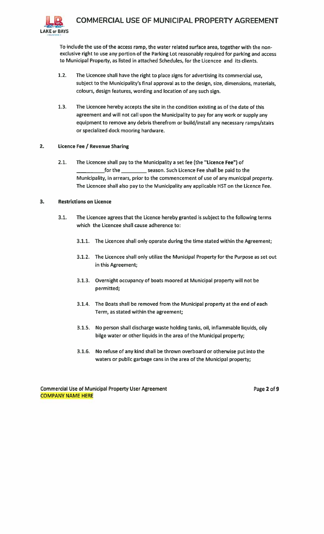

To include the use of the access ramp, the water related surface area, together with the nonexclusive right to use any portion of the Parking Lot reasonably required for parking and access to Municipal Property, as listed in attached Schedules, for the Licencee and its clients.

- $1.2.$ The Licencee shall have the right to place signs for advertising its commercial use, subject to the Municipality's final approval as to the design, size, dimensions, materials, colours, design features, wording and location of any such sign.
- $1.3.$ The Licencee hereby accepts the site in the condition existing as of the date of this agreement and will not call upon the Municipality to pay for any work or supply any equipment to remove any debris therefrom or build/install any necessary ramps/stairs or specialized dock mooring hardware.

### $2.$ Licence Fee / Revenue Sharing

 $2.1.$ The Licencee shall pay to the Municipality a set fee (the "Licence Fee") of season. Such Licence Fee shall be paid to the \_for the  $\_$ Municipality, in arrears, prior to the commencement of use of any municipal property. The Licencee shall also pay to the Municipality any applicable HST on the Licence Fee.

### $3.$ **Restrictions on Licence**

- $3.1.$ The Licencee agrees that the Licence hereby granted is subject to the following terms which the Licencee shall cause adherence to:
	- 3.1.1. The Licencee shall only operate during the time stated within the Agreement;
	- 3.1.2. The Licencee shall only utilize the Municipal Property for the Purpose as set out in this Agreement;
	- 3.1.3. Overnight occupancy of boats moored at Municipal property will not be permitted;
	- 3.1.4. The Boats shall be removed from the Municipal property at the end of each Term, as stated within the agreement;
	- 3.1.5. No person shall discharge waste holding tanks, oil, inflammable liquids, oily bilge water or other liquids in the area of the Municipal property;
	- 3.1.6. No refuse of any kind shall be thrown overboard or otherwise put into the waters or public garbage cans in the area of the Municipal property;

**Commercial Use of Municipal Property User Agreement COMPANY NAME HERE** 

Page 2 of 9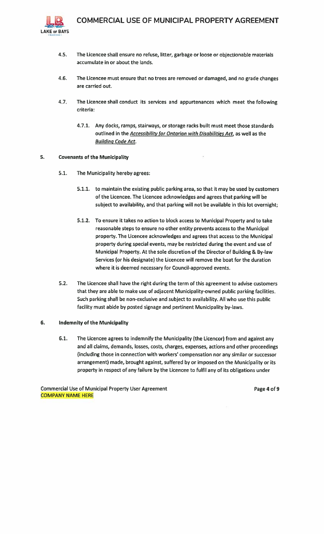

- $4.5.$ The Licencee shall ensure no refuse, litter, garbage or loose or objectionable materials accumulate in or about the lands.
- 4.6. The Licencee must ensure that no trees are removed or damaged, and no grade changes are carried out.
- $4.7.$ The Licencee shall conduct its services and appurtenances which meet the following criteria:
	- 4.7.1. Any docks, ramps, stairways, or storage racks built must meet those standards outlined in the Accessibility for Ontarian with Disabilities Act, as well as the **Building Code Act.**

#### 5. **Covenants of the Municipality**

- $5.1.$ The Municipality hereby agrees:
	- 5.1.1. to maintain the existing public parking area, so that it may be used by customers of the Licencee. The Licencee acknowledges and agrees that parking will be subject to availability, and that parking will not be available in this lot overnight;
	- 5.1.2. To ensure it takes no action to block access to Municipal Property and to take reasonable steps to ensure no other entity prevents access to the Municipal property. The Licencee acknowledges and agrees that access to the Municipal property during special events, may be restricted during the event and use of Municipal Property. At the sole discretion of the Director of Building & By-law Services (or his designate) the Licencee will remove the boat for the duration where it is deemed necessary for Council-approved events.
- $5.2.$ The Licencee shall have the right during the term of this agreement to advise customers that they are able to make use of adjacent Municipality-owned public parking facilities. Such parking shall be non-exclusive and subject to availability. All who use this public facility must abide by posted signage and pertinent Municipality by-laws.

#### 6. **Indemnity of the Municipality**

 $6.1.$ The Licencee agrees to indemnify the Municipality (the Licencor) from and against any and all claims, demands, losses, costs, charges, expenses, actions and other proceedings (including those in connection with workers' compensation nor any similar or successor arrangement) made, brought against, suffered by or imposed on the Municipality or its property in respect of any failure by the Licencee to fulfil any of its obligations under

**Commercial Use of Municipal Property User Agreement COMPANY NAME HERE** 

Page 4 of 9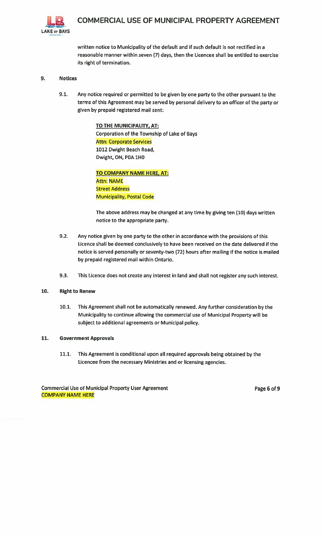

written notice to Municipality of the default and if such default is not rectified in a reasonable manner within seven (7) days, then the Licencee shall be entitled to exercise its right of termination.

### 9. **Notices**

 $9.1.$ Any notice required or permitted to be given by one party to the other pursuant to the terms of this Agreement may be served by personal delivery to an officer of the party or given by prepaid registered mail sent:

> TO THE MUNICIPALITY, AT: **Corporation of the Township of Lake of Bays Attn: Corporate Services** 1012 Dwight Beach Road, Dwight, ON, P0A 1H0

TO COMPANY NAME HERE, AT: **Attn: NAME Street Address Municipality, Postal Code** 

The above address may be changed at any time by giving ten (10) days written notice to the appropriate party.

- $9.2.$ Any notice given by one party to the other in accordance with the provisions of this Licence shall be deemed conclusively to have been received on the date delivered if the notice is served personally or seventy-two (72) hours after mailing if the notice is mailed by prepaid registered mail within Ontario.
- $9.3.$ This Licence does not create any interest in land and shall not register any such interest.

#### $10.$ **Right to Renew**

 $10.1.$ This Agreement shall not be automatically renewed. Any further consideration by the Municipality to continue allowing the commercial use of Municipal Property will be subject to additional agreements or Municipal policy.

#### 11. **Government Approvals**

 $11.1.$ This Agreement is conditional upon all required approvals being obtained by the Licencee from the necessary Ministries and or licensing agencies.

**Commercial Use of Municipal Property User Agreement COMPANY NAME HERE** 

Page 6 of 9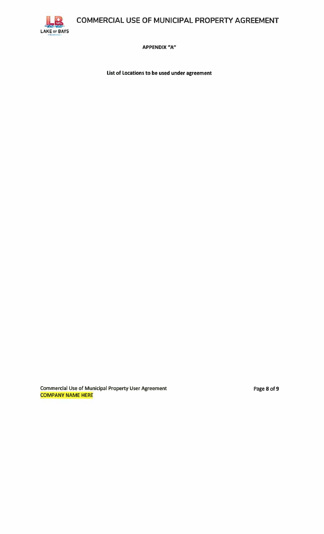COMMERCIAL USE OF MUNICIPAL PROPERTY AGREEMENT



**APPENDIX "A"** 

List of Locations to be used under agreement

**Commercial Use of Municipal Property User Agreement COMPANY NAME HERE** 

Page 8 of 9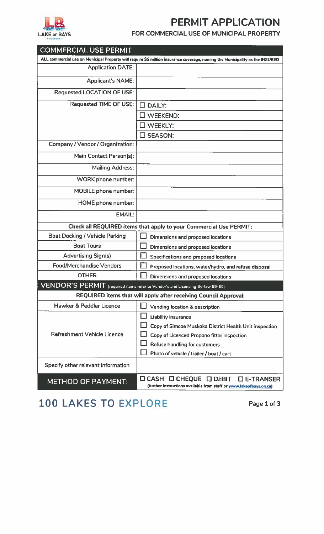

# PERMIT APPLICATION

## FOR COMMERCIAL USE OF MUNICIPAL PROPERTY

| <b>COMMERCIAL USE PERMIT</b>                                                                      |                                                                                                                                       |
|---------------------------------------------------------------------------------------------------|---------------------------------------------------------------------------------------------------------------------------------------|
|                                                                                                   | ALL commercial use on Municipal Property will require \$5 million insurance coverage, naming the Municipality as the INSURED          |
| <b>Application DATE:</b>                                                                          |                                                                                                                                       |
| <b>Applicant's NAME:</b>                                                                          |                                                                                                                                       |
| <b>Requested LOCATION OF USE:</b>                                                                 |                                                                                                                                       |
| <b>Requested TIME OF USE:</b>                                                                     | $\square$ DAILY:                                                                                                                      |
|                                                                                                   | <b>WEEKEND:</b>                                                                                                                       |
|                                                                                                   | $\square$ WEEKLY:                                                                                                                     |
|                                                                                                   | $\square$ SEASON:                                                                                                                     |
| Company / Vendor / Organization:                                                                  |                                                                                                                                       |
| Main Contact Person(s):                                                                           |                                                                                                                                       |
| <b>Mailing Address:</b>                                                                           |                                                                                                                                       |
| <b>WORK</b> phone number:                                                                         |                                                                                                                                       |
| MOBILE phone number:                                                                              |                                                                                                                                       |
| <b>HOME phone number:</b>                                                                         |                                                                                                                                       |
| <b>EMAIL:</b>                                                                                     |                                                                                                                                       |
|                                                                                                   | Check all REQUIRED items that apply to your Commercial Use PERMIT:                                                                    |
| <b>Boat Docking / Vehicle Parking</b>                                                             | Dimensions and proposed locations                                                                                                     |
| <b>Boat Tours</b>                                                                                 | Dimensions and proposed locations                                                                                                     |
| <b>Advertising Sign(s)</b>                                                                        | Specifications and proposed locations                                                                                                 |
| <b>Food/Merchandise Vendors</b>                                                                   | Proposed locations, water/hydro, and refuse disposal                                                                                  |
| <b>OTHER</b>                                                                                      | <b>Dimensions and proposed locations</b>                                                                                              |
| $\overline{\text{VENDOR'S PERMIT}}$ (required items refer to Vendor's and Licencing By-law 99-60) |                                                                                                                                       |
|                                                                                                   | REQUIRED items that will apply after receiving Council Approval:                                                                      |
| Hawker & Peddler Licence                                                                          | Vending location & description                                                                                                        |
|                                                                                                   | Liability insurance                                                                                                                   |
|                                                                                                   | Copy of Simcoe Muskoka District Health Unit inspection                                                                                |
| Refreshment Vehicle Licence                                                                       | Copy of Licenced Propane fitter inspection                                                                                            |
|                                                                                                   | <b>Refuse handling for customers</b>                                                                                                  |
|                                                                                                   | Photo of vehicle / trailer / boat / cart                                                                                              |
| Specify other relevant information                                                                |                                                                                                                                       |
| <b>METHOD OF PAYMENT:</b>                                                                         | $\square$ CHEQUE $\square$ DEBIT<br>$\Box$ CASH<br>□ E-TRANSER<br>(further instructions available from staff or www.lakeofbays.on.ca) |

# 100 LAKES TO EXPLORE

Page 1 of 3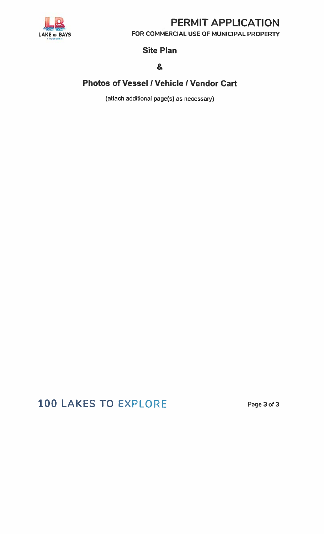

# PERMIT APPLICATION

FOR COMMERCIAL USE OF MUNICIPAL PROPERTY

## **Site Plan**

## &

# Photos of Vessel / Vehicle / Vendor Cart

(attach additional page(s) as necessary)

# 100 LAKES TO EXPLORE

Page 3 of 3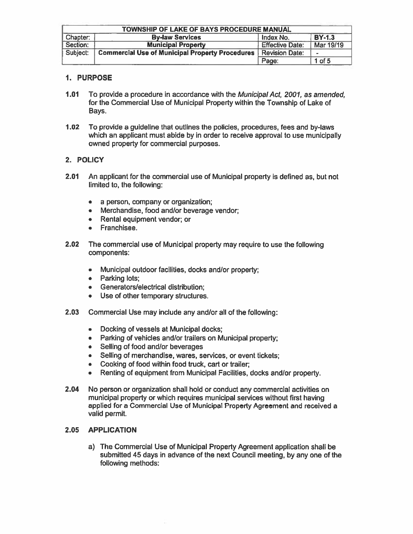| TOWNSHIP OF LAKE OF BAYS PROCEDURE MANUAL |                                                        |                        |            |  |
|-------------------------------------------|--------------------------------------------------------|------------------------|------------|--|
| Chapter:                                  | <b>BY-1.3</b><br><b>By-law Services</b><br>Index No.   |                        |            |  |
| Section:                                  | <b>Municipal Property</b>                              | <b>Effective Date:</b> | Mar 19/19  |  |
| Subject:                                  | <b>Commercial Use of Municipal Property Procedures</b> | Revision Date:         |            |  |
|                                           |                                                        | Page:                  | $1$ of $5$ |  |

### 1. PURPOSE

- $1.01$ To provide a procedure in accordance with the Municipal Act, 2001, as amended, for the Commercial Use of Municipal Property within the Township of Lake of Bays.
- $1.02<sub>1</sub>$ To provide a guideline that outlines the policies, procedures, fees and by-laws which an applicant must abide by in order to receive approval to use municipally owned property for commercial purposes.

### 2. POLICY

- $2.01$ An applicant for the commercial use of Municipal property is defined as, but not limited to, the following:
	- a person, company or organization;
	- Merchandise, food and/or beverage vendor;  $\bullet$
	- Rental equipment vendor; or
	- Franchisee.
- $2.02$ The commercial use of Municipal property may require to use the following components:
	- Municipal outdoor facilities, docks and/or property;  $\bullet$
	- Parking lots;  $\bullet$
	- Generators/electrical distribution:  $\bullet$
	- Use of other temporary structures.
- 2.03 Commercial Use may include any and/or all of the following:
	- Docking of vessels at Municipal docks;  $\bullet$
	- Parking of vehicles and/or trailers on Municipal property;  $\bullet$
	- Selling of food and/or beverages
	- Selling of merchandise, wares, services, or event tickets;  $\bullet$
	- Cooking of food within food truck, cart or trailer;  $\bullet$  .
	- Renting of equipment from Municipal Facilities, docks and/or property.  $\bullet$
- 2.04 No person or organization shall hold or conduct any commercial activities on municipal property or which requires municipal services without first having applied for a Commercial Use of Municipal Property Agreement and received a valid permit.

### 2.05 APPLICATION

a) The Commercial Use of Municipal Property Agreement application shall be submitted 45 days in advance of the next Council meeting, by any one of the following methods: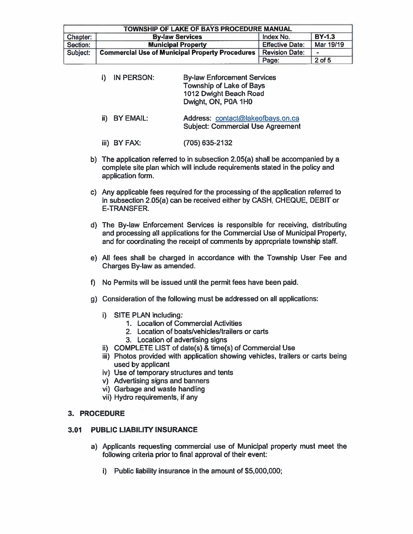| TOWNSHIP OF LAKE OF BAYS PROCEDURE MANUAL |                                                        |                        |               |  |
|-------------------------------------------|--------------------------------------------------------|------------------------|---------------|--|
| Chapter:                                  | <b>By-law Services</b>                                 | Index No.              | <b>BY-1.3</b> |  |
| Section:                                  | <b>Municipal Property</b>                              | <b>Effective Date:</b> | Mar 19/19     |  |
| Subject:                                  | <b>Commercial Use of Municipal Property Procedures</b> | <b>Revision Date:</b>  | $\equiv$      |  |
|                                           |                                                        | Page:                  | $2$ of 5      |  |

| i) | <b>IN PERSON:</b> | <b>By-law Enforcement Services</b><br><b>Township of Lake of Bays</b><br>1012 Dwight Beach Road<br>Dwight, ON, P0A 1H0 |
|----|-------------------|------------------------------------------------------------------------------------------------------------------------|
|    | ii) BY EMAIL:     | Address: contact@lakeofbays.on.ca<br><b>Subject: Commercial Use Agreement</b>                                          |

iii) BY FAX: (705) 635-2132

- b) The application referred to in subsection 2.05(a) shall be accompanied by a complete site plan which will include requirements stated in the policy and application form.
- c) Any applicable fees required for the processing of the application referred to in subsection 2.05(a) can be received either by CASH, CHEQUE, DEBIT or **E-TRANSFER.**
- d) The By-law Enforcement Services is responsible for receiving, distributing and processing all applications for the Commercial Use of Municipal Property, and for coordinating the receipt of comments by appropriate township staff.
- e) All fees shall be charged in accordance with the Township User Fee and Charges By-law as amended.
- f) No Permits will be issued until the permit fees have been paid.
- g) Consideration of the following must be addressed on all applications:
	- i) SITE PLAN including:
		- 1. Location of Commercial Activities
		- 2. Location of boats/vehicles/trailers or carts
		- 3. Location of advertising signs
	- ii) COMPLETE LIST of date(s) & time(s) of Commercial Use
	- iii) Photos provided with application showing vehicles, trailers or carts being used by applicant
	- iv) Use of temporary structures and tents
	- v) Advertising signs and banners
	- vi) Garbage and waste handling
	- vii) Hydro requirements, if any

### 3. PROCEDURE

#### $3.01$ PUBLIC LIABILITY INSURANCE

- a) Applicants requesting commercial use of Municipal property must meet the following criteria prior to final approval of their event:
	- i) Public liability insurance in the amount of \$5,000,000;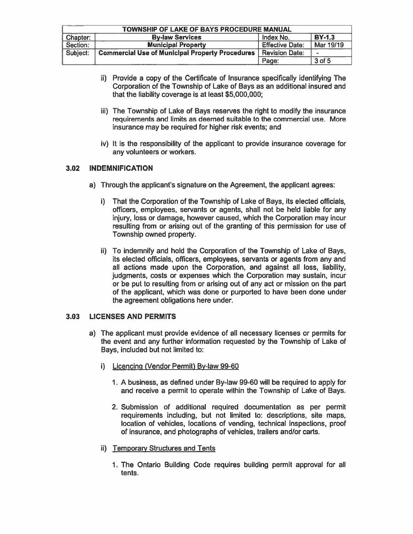| <b>TOWNSHIP OF LAKE OF BAYS PROCEDURE MANUAL</b> |                                                        |                        |            |  |
|--------------------------------------------------|--------------------------------------------------------|------------------------|------------|--|
| Chapter:                                         | <b>BY-1.3</b><br>Index No.<br><b>By-law Services</b>   |                        |            |  |
| Section:                                         | <b>Municipal Property</b>                              | <b>Effective Date:</b> | Mar 19/19  |  |
| Subject:                                         | <b>Commercial Use of Municipal Property Procedures</b> | Revision Date:         | <b>Adv</b> |  |
|                                                  | Page:                                                  | 3 of 5                 |            |  |

- ii) Provide a copy of the Certificate of Insurance specifically identifying The Corporation of the Township of Lake of Bays as an additional insured and that the liability coverage is at least \$5,000,000;
- iii) The Township of Lake of Bays reserves the right to modify the insurance requirements and limits as deemed suitable to the commercial use. More insurance may be required for higher risk events; and
- iv) It is the responsibility of the applicant to provide insurance coverage for any volunteers or workers.

### $3.02$ **INDEMNIFICATION**

- a) Through the applicant's signature on the Agreement, the applicant agrees:
	- i) That the Corporation of the Township of Lake of Bays, its elected officials, officers, employees, servants or agents, shall not be held liable for any injury, loss or damage, however caused, which the Corporation may incur resulting from or arising out of the granting of this permission for use of Township owned property.
	- ii) To indemnify and hold the Corporation of the Township of Lake of Bays, its elected officials, officers, employees, servants or agents from any and all actions made upon the Corporation, and against all loss, liability, judgments, costs or expenses which the Corporation may sustain, incur or be put to resulting from or arising out of any act or mission on the part of the applicant, which was done or purported to have been done under the agreement obligations here under.

### $3.03$ **LICENSES AND PERMITS**

- a) The applicant must provide evidence of all necessary licenses or permits for the event and any further information requested by the Township of Lake of Bays, included but not limited to:
	- i) Licencing (Vendor Permit) By-law 99-60
		- 1. A business, as defined under By-law 99-60 will be required to apply for and receive a permit to operate within the Township of Lake of Bays.
		- 2. Submission of additional required documentation as per permit requirements including, but not limited to: descriptions, site maps, location of vehicles, locations of vending, technical inspections, proof of insurance, and photographs of vehicles, trailers and/or carts.
	- ii) Temporary Structures and Tents
		- 1. The Ontario Building Code requires building permit approval for all tents.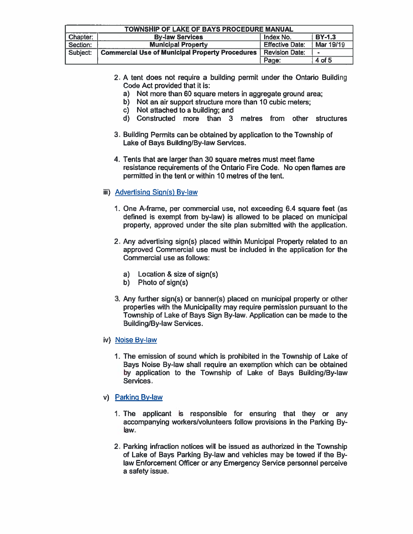| TOWNSHIP OF LAKE OF BAYS PROCEDURE MANUAL                        |                                                        |                        |           |
|------------------------------------------------------------------|--------------------------------------------------------|------------------------|-----------|
| <b>BY-1.3</b><br>Chapter:<br>Index No.<br><b>By-law Services</b> |                                                        |                        |           |
| Section:                                                         | <b>Municipal Property</b>                              | <b>Effective Date:</b> | Mar 19/19 |
| Subject:                                                         | <b>Commercial Use of Municipal Property Procedures</b> | Revision Date:         |           |
|                                                                  |                                                        | Page:                  | 4 of 5    |

- 2. A tent does not require a building permit under the Ontario Building Code Act provided that it is:
	- a) Not more than 60 square meters in aggregate ground area;
	- b) Not an air support structure more than 10 cubic meters;
	- c) Not attached to a building; and
	- d) Constructed more than 3 metres from other structures
- 3. Building Permits can be obtained by application to the Township of Lake of Bays Building/By-law Services.
- 4. Tents that are larger than 30 square metres must meet flame resistance requirements of the Ontario Fire Code. No open flames are permitted in the tent or within 10 metres of the tent.
- iii) Advertising Sign(s) By-law
	- 1. One A-frame, per commercial use, not exceeding 6.4 square feet (as defined is exempt from by-law) is allowed to be placed on municipal property, approved under the site plan submitted with the application.
	- 2. Any advertising sign(s) placed within Municipal Property related to an approved Commercial use must be included in the application for the Commercial use as follows:
		- Location & size of sign(s)  $a)$
		- b) Photo of sign(s)
	- 3. Any further sign(s) or banner(s) placed on municipal property or other properties with the Municipality may require permission pursuant to the Township of Lake of Bays Sign By-law. Application can be made to the **Building/By-law Services.**
- iv) Noise By-law
	- 1. The emission of sound which is prohibited in the Township of Lake of Bays Noise By-law shall require an exemption which can be obtained by application to the Township of Lake of Bays Building/By-law Services.
- v) Parking By-law
	- 1. The applicant is responsible for ensuring that they or any accompanying workers/volunteers follow provisions in the Parking Bylaw.
	- 2. Parking infraction notices will be issued as authorized in the Township of Lake of Bays Parking By-law and vehicles may be towed if the Bylaw Enforcement Officer or any Emergency Service personnel perceive a safety issue.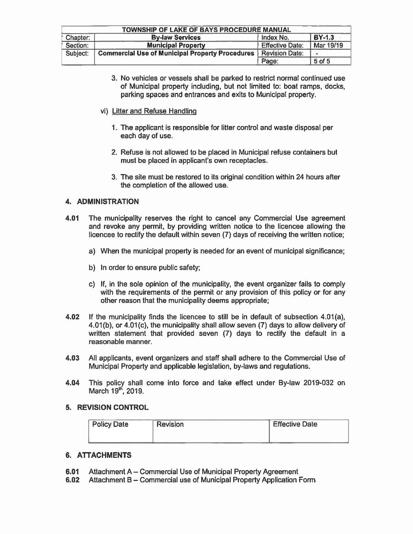| TOWNSHIP OF LAKE OF BAYS PROCEDURE MANUAL |                                                             |                        |                |  |
|-------------------------------------------|-------------------------------------------------------------|------------------------|----------------|--|
| Chapter:                                  | <b>BY-1.3</b><br><b>By-law Services</b><br><b>Index No.</b> |                        |                |  |
| Section:                                  | <b>Municipal Property</b>                                   | <b>Effective Date:</b> | Mar 19/19      |  |
| Subject:                                  | <b>Commercial Use of Municipal Property Procedures</b>      | <b>Revision Date:</b>  | $\blacksquare$ |  |
|                                           |                                                             | Page:                  | 5 of 5         |  |

- 3. No vehicles or vessels shall be parked to restrict normal continued use of Municipal property including, but not limited to: boat ramps, docks, parking spaces and entrances and exits to Municipal property.
- vi) Litter and Refuse Handling
	- 1. The applicant is responsible for litter control and waste disposal per each day of use.
	- 2. Refuse is not allowed to be placed in Municipal refuse containers but must be placed in applicant's own receptacles.
	- 3. The site must be restored to its original condition within 24 hours after the completion of the allowed use.

### **4. ADMINISTRATION**

- 4.01 The municipality reserves the right to cancel any Commercial Use agreement and revoke any permit, by providing written notice to the licencee allowing the licencee to rectify the default within seven (7) days of receiving the written notice:
	- a) When the municipal property is needed for an event of municipal significance;
	- b) In order to ensure public safety;
	- c) If, in the sole opinion of the municipality, the event organizer fails to comply with the requirements of the permit or any provision of this policy or for any other reason that the municipality deems appropriate;
- If the municipality finds the licencee to still be in default of subsection 4.01(a). 4.02 4.01(b), or 4.01(c), the municipality shall allow seven (7) days to allow delivery of written statement that provided seven (7) days to rectify the default in a reasonable manner.
- $4.03$ All applicants, event organizers and staff shall adhere to the Commercial Use of Municipal Property and applicable legislation, by-laws and regulations.
- This policy shall come into force and take effect under By-law 2019-032 on 4.04 March 19<sup>th</sup>, 2019.

### 5. REVISION CONTROL

| <b>Policy Date</b> | <b>Revision</b> | <b>Effective Date</b> |
|--------------------|-----------------|-----------------------|
|                    |                 |                       |

### **6. ATTACHMENTS**

- 6.01 Attachment A – Commercial Use of Municipal Property Agreement
- Attachment B Commercial use of Municipal Property Application Form  $6.02$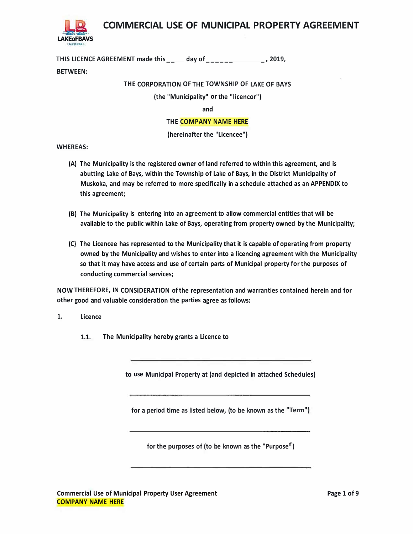

**COMMERCIAL USE OF MUNICIPAL PROPERTY AGREEMENT** 

**THIS LICENCE AGREEMENT made this \_\_ day of \_\_\_\_\_\_ \_, 2019,** 

### **BETWEEN:**

### **THE CORPORATION OF THE TOWNSHIP OF LAKE OF BAYS**

**(the "Municipality" or the "licencor")** 

**and** 

### **THE COMPANY NAME HERE**

**(hereinafter the "Licencee")** 

**WHEREAS:** 

- **(A) The Municipality is the registered owner of land referred to within this agreement, and is abutting Lake of Bays, within the Township of Lake of Bays, in the District Municipality of Muskoka, and may be referred to more specifically in a schedule attached as an APPENDIX to this agreement;**
- **(B) The Municipality is entering into an agreement to allow commercial entities that will be available to the public within Lake of Bays, operating from property owned by the Municipality;**
- **(C} The Licencee has represented to the Municipality that it is capable of operating from property owned by the Municipality and wishes to enter into a licencing agreement with the Municipality so that it may have access and use of certain parts of Municipal property for the purposes of conducting commercial services;**

**NOW THEREFORE, IN CONSIDERATION of the representation and warranties contained herein and for other good and valuable consideration the parties agree as follows:** 

- **1. Licence**
	- **1.1. The Municipality hereby grants a Licence to**

**to use Municipal Property at (and depicted in attached Schedules)** 

**for a period time as listed below, (to be known as the "Term")** 

**for the purposes of (to be known as the "Purposeff)**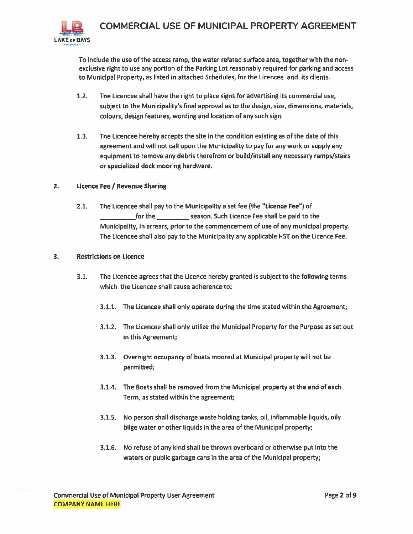

To include the use of the access ramp, the water related surface area, together with the nonexclusive right to use any portion of the Parking Lot reasonably required for parking and access to Municipal Property, as listed in attached Schedules, for the Licencee and its clients.

- $1.2.$ The Licencee shall have the right to place signs for advertising its commercial use, subject to the Municipality's final approval as to the design, size, dimensions, materials, colours, design features, wording and location of any such sign.
- $1.3.$ The Licencee hereby accepts the site in the condition existing as of the date of this agreement and will not call upon the Municipality to pay for any work or supply any equipment to remove any debris therefrom or build/install any necessary ramps/stairs or specialized dock mooring hardware.

#### $2.$ Licence Fee / Revenue Sharing

 $2.1.$ The Licencee shall pay to the Municipality a set fee (the "Licence Fee") of for the \_\_\_\_\_\_\_\_\_\_\_ season. Such Licence Fee shall be paid to the Municipality, in arrears, prior to the commencement of use of any municipal property. The Licencee shall also pay to the Municipality any applicable HST on the Licence Fee.

#### **Restrictions on Licence** 3.

- $3.1.$ The Licencee agrees that the Licence hereby granted is subject to the following terms which the Licencee shall cause adherence to:
	- 3.1.1. The Licencee shall only operate during the time stated within the Agreement;
	- 3.1.2. The Licencee shall only utilize the Municipal Property for the Purpose as set out in this Agreement;
	- 3.1.3. Overnight occupancy of boats moored at Municipal property will not be permitted;
	- 3.1.4. The Boats shall be removed from the Municipal property at the end of each Term, as stated within the agreement;
	- 3.1.5. No person shall discharge waste holding tanks, oil, inflammable liquids, oily bilge water or other liquids in the area of the Municipal property;
	- 3.1.6. No refuse of any kind shall be thrown overboard or otherwise put into the waters or public garbage cans in the area of the Municipal property;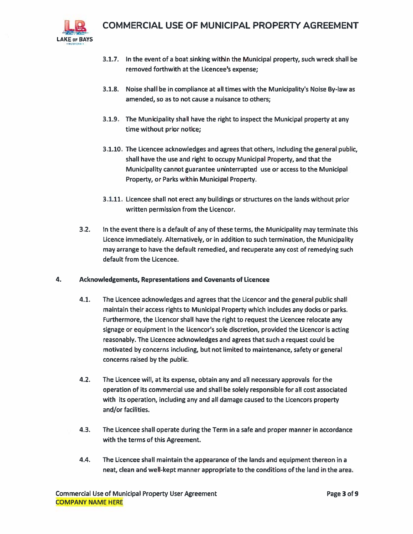

- 3.1.7. In the event of a boat sinking within the Municipal property, such wreck shall be removed forthwith at the Licencee's expense;
- 3.1.8. Noise shall be in compliance at all times with the Municipality's Noise By-law as amended, so as to not cause a nuisance to others;
- 3.1.9. The Municipality shall have the right to inspect the Municipal property at any time without prior notice;
- 3.1.10. The Licencee acknowledges and agrees that others, including the general public, shall have the use and right to occupy Municipal Property, and that the Municipality cannot guarantee uninterrupted use or access to the Municipal Property, or Parks within Municipal Property.
- 3.1.11. Licencee shall not erect any buildings or structures on the lands without prior written permission from the Licencor.
- $3.2.$ In the event there is a default of any of these terms, the Municipality may terminate this Licence immediately. Alternatively, or in addition to such termination, the Municipality may arrange to have the default remedied, and recuperate any cost of remedying such default from the Licencee.

### 4. **Acknowledgements, Representations and Covenants of Licencee**

- $4.1.$ The Licencee acknowledges and agrees that the Licencor and the general public shall maintain their access rights to Municipal Property which includes any docks or parks. Furthermore, the Licencor shall have the right to request the Licencee relocate any signage or equipment in the Licencor's sole discretion, provided the Licencor is acting reasonably. The Licencee acknowledges and agrees that such a request could be motivated by concerns including, but not limited to maintenance, safety or general concerns raised by the public.
- $4.2.$ The Licencee will, at its expense, obtain any and all necessary approvals for the operation of its commercial use and shall be solely responsible for all cost associated with its operation, including any and all damage caused to the Licencors property and/or facilities.
- $4.3.$ The Licencee shall operate during the Term in a safe and proper manner in accordance with the terms of this Agreement.
- 4.4. The Licencee shall maintain the appearance of the lands and equipment thereon in a neat, clean and well-kept manner appropriate to the conditions of the land in the area.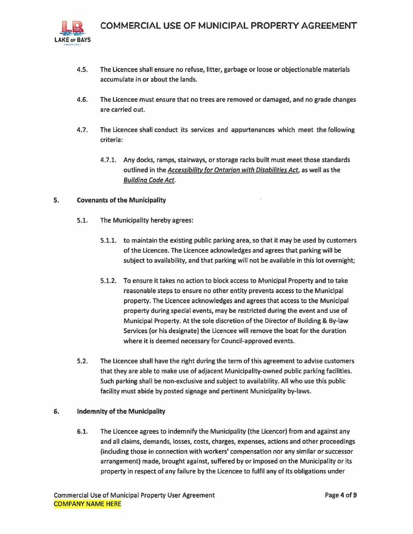

- $4.5.$ The Licencee shall ensure no refuse, litter, garbage or loose or objectionable materials accumulate in or about the lands.
- $4.6.$ The Licencee must ensure that no trees are removed or damaged, and no grade changes are carried out.
- $4.7.$ The Licencee shall conduct its services and appurtenances which meet the following criteria:
	- 4.7.1. Any docks, ramps, stairways, or storage racks built must meet those standards outlined in the Accessibility for Ontarian with Disabilities Act, as well as the **Building Code Act.**

#### 5. **Covenants of the Municipality**

- $5.1.$ The Municipality hereby agrees:
	- 5.1.1. to maintain the existing public parking area, so that it may be used by customers of the Licencee. The Licencee acknowledges and agrees that parking will be subject to availability, and that parking will not be available in this lot overnight;
	- 5.1.2. To ensure it takes no action to block access to Municipal Property and to take reasonable steps to ensure no other entity prevents access to the Municipal property. The Licencee acknowledges and agrees that access to the Municipal property during special events, may be restricted during the event and use of Municipal Property. At the sole discretion of the Director of Building & By-law Services (or his designate) the Licencee will remove the boat for the duration where it is deemed necessary for Council-approved events.
- $5.2.$ The Licencee shall have the right during the term of this agreement to advise customers that they are able to make use of adjacent Municipality-owned public parking facilities. Such parking shall be non-exclusive and subject to availability. All who use this public facility must abide by posted signage and pertinent Municipality by-laws.

#### 6. **Indemnity of the Municipality**

 $6.1.$ The Licencee agrees to indemnify the Municipality (the Licencor) from and against any and all claims, demands, losses, costs, charges, expenses, actions and other proceedings (including those in connection with workers' compensation nor any similar or successor arrangement) made, brought against, suffered by or imposed on the Municipality or its property in respect of any failure by the Licencee to fulfil any of its obligations under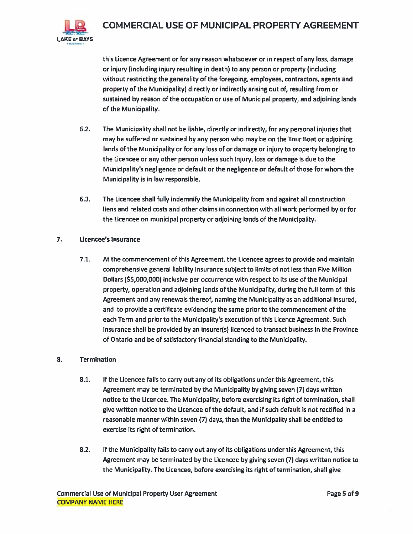

## COMMERCIAL USE OF MUNICIPAL PROPERTY AGREEMENT

this Licence Agreement or for any reason whatsoever or in respect of any loss, damage or injury (including injury resulting in death) to any person or property (including without restricting the generality of the foregoing, employees, contractors, agents and property of the Municipality) directly or indirectly arising out of, resulting from or sustained by reason of the occupation or use of Municipal property, and adjoining lands of the Municipality.

- $6.2.$ The Municipality shall not be liable, directly or indirectly, for any personal injuries that may be suffered or sustained by any person who may be on the Tour Boat or adjoining lands of the Municipality or for any loss of or damage or injury to property belonging to the Licencee or any other person unless such injury, loss or damage is due to the Municipality's negligence or default or the negligence or default of those for whom the Municipality is in law responsible.
- The Licencee shall fully indemnify the Municipality from and against all construction  $6.3.$ liens and related costs and other claims in connection with all work performed by or for the Licencee on municipal property or adjoining lands of the Municipality.

#### 7. **Licencee's Insurance**

 $7.1.$ At the commencement of this Agreement, the Licencee agrees to provide and maintain comprehensive general liability insurance subject to limits of not less than Five Million Dollars (\$5,000,000) inclusive per occurrence with respect to its use of the Municipal property, operation and adjoining lands of the Municipality, during the full term of this Agreement and any renewals thereof, naming the Municipality as an additional insured, and to provide a certificate evidencing the same prior to the commencement of the each Term and prior to the Municipality's execution of this Licence Agreement. Such insurance shall be provided by an insurer(s) licenced to transact business in the Province of Ontario and be of satisfactory financial standing to the Municipality.

#### 8. **Termination**

- $8.1.$ If the Licencee fails to carry out any of its obligations under this Agreement, this Agreement may be terminated by the Municipality by giving seven (7) days written notice to the Licencee. The Municipality, before exercising its right of termination, shall give written notice to the Licencee of the default, and if such default is not rectified in a reasonable manner within seven (7) days, then the Municipality shall be entitled to exercise its right of termination.
- $8.2.$ If the Municipality fails to carry out any of its obligations under this Agreement, this Agreement may be terminated by the Licencee by giving seven (7) days written notice to the Municipality. The Licencee, before exercising its right of termination, shall give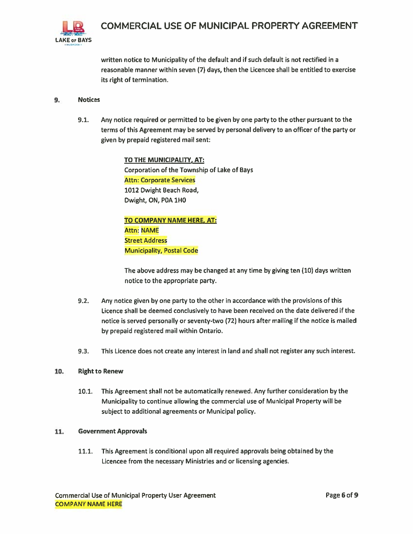

written notice to Municipality of the default and if such default is not rectified in a reasonable manner within seven (7) days, then the Licencee shall be entitled to exercise its right of termination.

#### 9. **Notices**

 $9.1.$ Any notice required or permitted to be given by one party to the other pursuant to the terms of this Agreement may be served by personal delivery to an officer of the party or given by prepaid registered mail sent:

> TO THE MUNICIPALITY, AT: Corporation of the Township of Lake of Bays **Attn: Corporate Services** 1012 Dwight Beach Road, Dwight, ON, P0A 1H0

**TO COMPANY NAME HERE, AT: Attn: NAME Street Address Municipality, Postal Code** 

The above address may be changed at any time by giving ten (10) days written notice to the appropriate party.

- $9.2.$ Any notice given by one party to the other in accordance with the provisions of this Licence shall be deemed conclusively to have been received on the date delivered if the notice is served personally or seventy-two (72) hours after mailing if the notice is mailed by prepaid registered mail within Ontario.
- $9.3.$ This Licence does not create any interest in land and shall not register any such interest.

#### 10. **Right to Renew**

 $10.1.$ This Agreement shall not be automatically renewed. Any further consideration by the Municipality to continue allowing the commercial use of Municipal Property will be subject to additional agreements or Municipal policy.

#### 11. **Government Approvals**

 $11.1.$ This Agreement is conditional upon all required approvals being obtained by the Licencee from the necessary Ministries and or licensing agencies.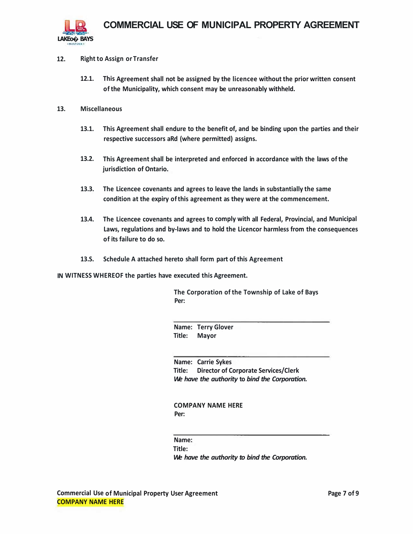

### **12. Right to Assign or Transfer**

- **12.1. This Agreement shall not be assigned by the licencee without the prior written consent of the Municipality, which consent may be unreasonably withheld.**
- **13. Miscellaneous**
	- **13.1. This Agreement shall endure to the benefit of, and be binding upon the parties and their respective successors aRd (where permitted) assigns.**
	- **13.2. This Agreement shall be interpreted and enforced in accordance with the laws of the jurisdiction of Ontario.**
	- **13.3. The Licencee covenants and agrees to leave the lands in substantially the same condition at the expiry of this agreement as they were at the commencement.**
	- **13.4. The Licencee covenants and agrees to comply with all Federal, Provincial, and Municipal Laws, regulations and by-laws and to hold the Licencor harmless from the consequences of its failure to do so.**
	- **13.S. Schedule A attached hereto shall form part of this Agreement**

**IN WITNESS WHEREOF the parties have executed this Agreement.** 

**The Corporation of the Township of Lake of Bays Per:** 

**Name: Terry Glover Title: Mayor** 

**Name: Carrie Sykes Title: Director of Corporate Services/Clerk**  *We have the authority* **to** *bind the Corporation.* 

**COMPANY NAME HERE Per:** 

**Name:** 

**Title:** 

*We have the authority to bind the Corporation.*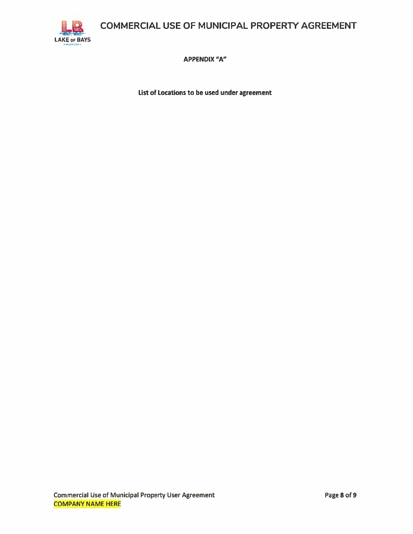COMMERCIAL USE OF MUNICIPAL PROPERTY AGREEMENT



**APPENDIX "A"** 

List of Locations to be used under agreement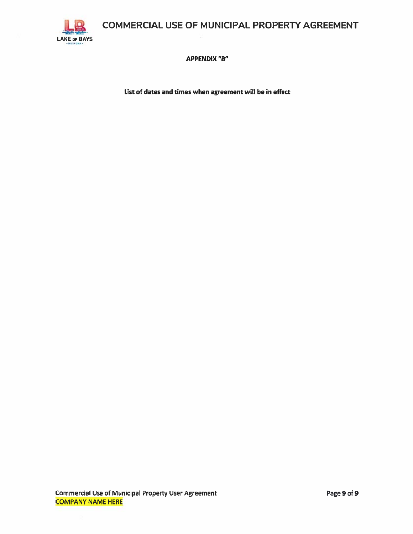COMMERCIAL USE OF MUNICIPAL PROPERTY AGREEMENT



**APPENDIX "B"** 

List of dates and times when agreement will be in effect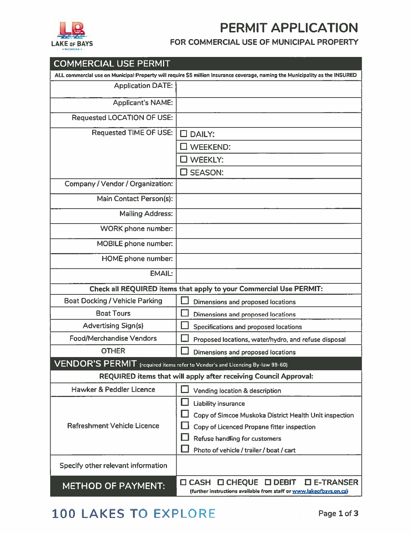



### FOR COMMERCIAL USE OF MUNICIPAL PROPERTY

| <b>COMMERCIAL USE PERMIT</b>                                                    |                                                                                                                                        |  |
|---------------------------------------------------------------------------------|----------------------------------------------------------------------------------------------------------------------------------------|--|
|                                                                                 | ALL commercial use on Municipal Property will require \$5 million insurance coverage, naming the Municipality as the INSURED           |  |
| <b>Application DATE:</b>                                                        |                                                                                                                                        |  |
| <b>Applicant's NAME:</b>                                                        |                                                                                                                                        |  |
| <b>Requested LOCATION OF USE:</b>                                               |                                                                                                                                        |  |
| <b>Requested TIME OF USE:</b>                                                   | <b>DAILY:</b><br>П                                                                                                                     |  |
|                                                                                 | <b>WEEKEND:</b>                                                                                                                        |  |
|                                                                                 | <b>WEEKLY:</b>                                                                                                                         |  |
|                                                                                 | $\Box$ SEASON:                                                                                                                         |  |
| <b>Company / Vendor / Organization:</b>                                         |                                                                                                                                        |  |
| Main Contact Person(s):                                                         |                                                                                                                                        |  |
| <b>Mailing Address:</b>                                                         |                                                                                                                                        |  |
| <b>WORK</b> phone number:                                                       |                                                                                                                                        |  |
| MOBILE phone number:                                                            |                                                                                                                                        |  |
| <b>HOME</b> phone number:                                                       |                                                                                                                                        |  |
| <b>EMAIL:</b>                                                                   |                                                                                                                                        |  |
| Check all REQUIRED items that apply to your Commercial Use PERMIT:              |                                                                                                                                        |  |
| <b>Boat Docking / Vehicle Parking</b>                                           | Dimensions and proposed locations                                                                                                      |  |
| <b>Boat Tours</b>                                                               | <b>Dimensions and proposed locations</b>                                                                                               |  |
| <b>Advertising Sign(s)</b>                                                      | Specifications and proposed locations                                                                                                  |  |
| <b>Food/Merchandise Vendors</b>                                                 | Proposed locations, water/hydro, and refuse disposal                                                                                   |  |
| <b>OTHER</b>                                                                    | <b>Dimensions and proposed locations</b>                                                                                               |  |
| $VENDOR'S PERMIT$ (required items refer to Vendor's and Licencing By-law 99-60) |                                                                                                                                        |  |
| REQUIRED items that will apply after receiving Council Approval:                |                                                                                                                                        |  |
| Hawker & Peddler Licence                                                        | Vending location & description                                                                                                         |  |
|                                                                                 | <b>Liability insurance</b>                                                                                                             |  |
|                                                                                 | Copy of Simcoe Muskoka District Health Unit inspection                                                                                 |  |
| Refreshment Vehicle Licence                                                     | Copy of Licenced Propane fitter inspection                                                                                             |  |
|                                                                                 | <b>Refuse handling for customers</b>                                                                                                   |  |
|                                                                                 | Photo of vehicle / trailer / boat / cart                                                                                               |  |
| Specify other relevant information                                              |                                                                                                                                        |  |
| <b>METHOD OF PAYMENT:</b>                                                       | <b>O CHEQUE O DEBIT</b><br><b>O E-TRANSER</b><br>$\square$ CASH<br>(further instructions available from staff or www.lakeofbays.on.ca) |  |

# 100 LAKES TO EXPLORE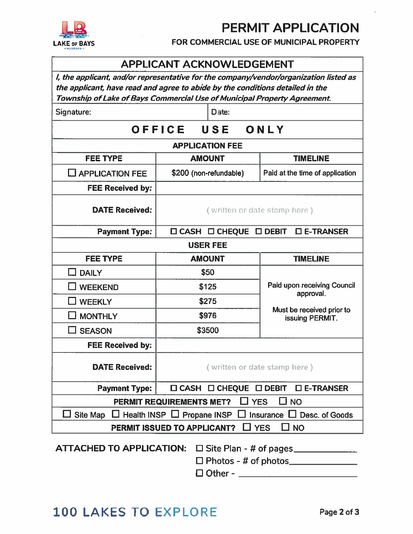# **PERMIT APPLICATION**



FOR COMMERCIAL USE OF MUNICIPAL PROPERTY

## **APPLICANT ACKNOWLEDGEMENT**

I, the applicant, and/or representative for the company/vendor/organization listed as the applicant, have read and agree to abide by the conditions detailed in the Township of Lake of Bays Commercial Use of Municipal Property Agreement.

Signature:

Date:

#### OFFICE USE ONLY

### **APPLICATION FEE**

| <b>FEE TYPE</b>                                                                 | <b>AMOUNT</b>                                             | <b>TIMELINE</b>                              |  |
|---------------------------------------------------------------------------------|-----------------------------------------------------------|----------------------------------------------|--|
| $\Box$ APPLICATION FEE                                                          | \$200 (non-refundable)                                    | Paid at the time of application              |  |
| <b>FEE Received by:</b>                                                         |                                                           |                                              |  |
| <b>DATE Received:</b>                                                           | (written or date stamp here)                              |                                              |  |
| <b>Payment Type:</b>                                                            | □ CASH □ CHEQUE                                           | $\square$ E-TRANSER<br>$\square$ DEBIT       |  |
| <b>USER FEE</b>                                                                 |                                                           |                                              |  |
| <b>FEE TYPE</b>                                                                 | <b>AMOUNT</b>                                             | <b>TIMELINE</b>                              |  |
| <b>DAILY</b><br>. .                                                             | \$50                                                      |                                              |  |
| <b>WEEKEND</b>                                                                  | \$125                                                     | Paid upon receiving Council<br>approval.     |  |
| <b>WEEKLY</b>                                                                   | \$275                                                     |                                              |  |
| <b>MONTHLY</b>                                                                  | \$976                                                     | Must be received prior to<br>issuing PERMIT. |  |
| <b>SEASON</b>                                                                   | \$3500                                                    |                                              |  |
| <b>FEE Received by:</b>                                                         |                                                           |                                              |  |
| <b>DATE Received:</b>                                                           | (written or date stamp here)                              |                                              |  |
| <b>Payment Type:</b>                                                            | □ CASH □ CHEQUE<br>$\square$ E-TRANSER<br>$\square$ DEBIT |                                              |  |
| $\square$ YES<br>PERMIT REQUIREMENTS MET?<br>∐ NO                               |                                                           |                                              |  |
| Site Map<br>Desc. of Goods<br>Health INSP $\Box$ Propane INSP<br>ப<br>Insurance |                                                           |                                              |  |
| PERMIT ISSUED TO APPLICANT?<br><b>YES</b><br><b>NO</b>                          |                                                           |                                              |  |

ATTACHED TO APPLICATION: □ Site Plan - # of pages 

# 100 LAKES TO EXPLORE